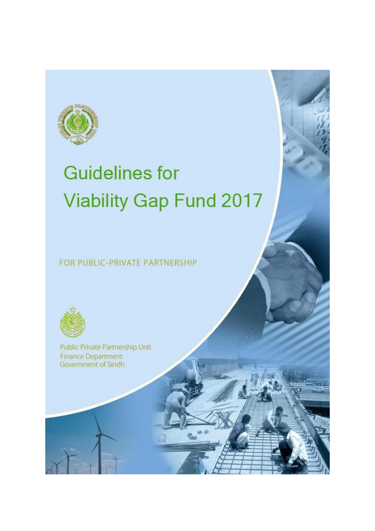

# **Guidelines for Viability Gap Fund 2017**

FOR PUBLIC-PRIVATE PARTNERSHIP



Public Private Partnership Unit **Finance Department** Government of Sindh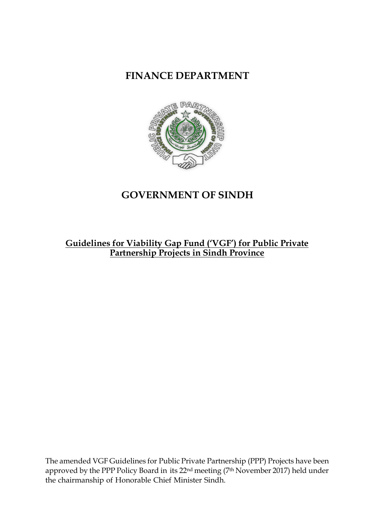**FINANCE DEPARTMENT**



# **GOVERNMENT OF SINDH**

## **Guidelines for Viability Gap Fund ('VGF') for Public Private Partnership Projects in Sindh Province**

The amended VGF Guidelines for Public Private Partnership (PPP) Projects have been approved by the PPP Policy Board in its 22nd meeting (7th November 2017) held under the chairmanship of Honorable Chief Minister Sindh.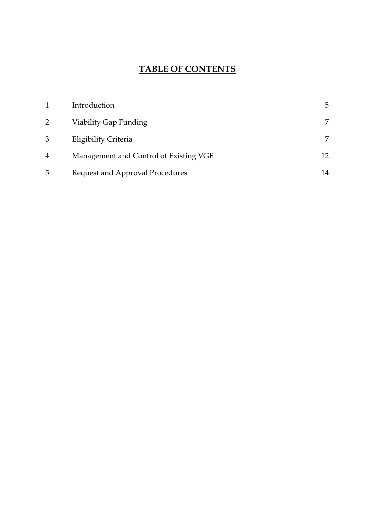# **TABLE OF CONTENTS**

|                | Introduction                           | 5  |
|----------------|----------------------------------------|----|
| 2              | Viability Gap Funding                  |    |
| 3              | Eligibility Criteria                   |    |
| $\overline{4}$ | Management and Control of Existing VGF |    |
| 5              | Request and Approval Procedures        | 14 |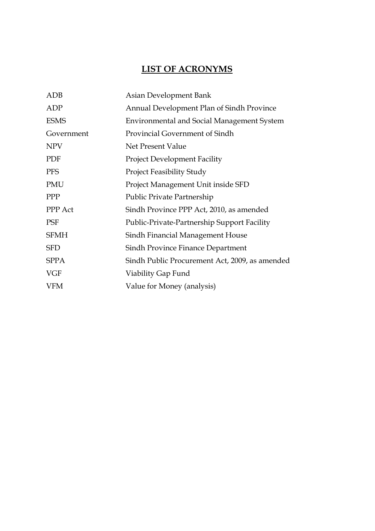# **LIST OF ACRONYMS**

<span id="page-3-0"></span>

| <b>ADB</b>     | Asian Development Bank                            |
|----------------|---------------------------------------------------|
| ADP            | Annual Development Plan of Sindh Province         |
| <b>ESMS</b>    | <b>Environmental and Social Management System</b> |
| Government     | Provincial Government of Sindh                    |
| <b>NPV</b>     | Net Present Value                                 |
| PDF            | <b>Project Development Facility</b>               |
| <b>PFS</b>     | <b>Project Feasibility Study</b>                  |
| PMU            | Project Management Unit inside SFD                |
| <b>PPP</b>     | Public Private Partnership                        |
| <b>PPP</b> Act | Sindh Province PPP Act, 2010, as amended          |
| PSF            | Public-Private-Partnership Support Facility       |
| <b>SFMH</b>    | Sindh Financial Management House                  |
| <b>SFD</b>     | Sindh Province Finance Department                 |
| <b>SPPA</b>    | Sindh Public Procurement Act, 2009, as amended    |
| <b>VGF</b>     | Viability Gap Fund                                |
| <b>VFM</b>     | Value for Money (analysis)                        |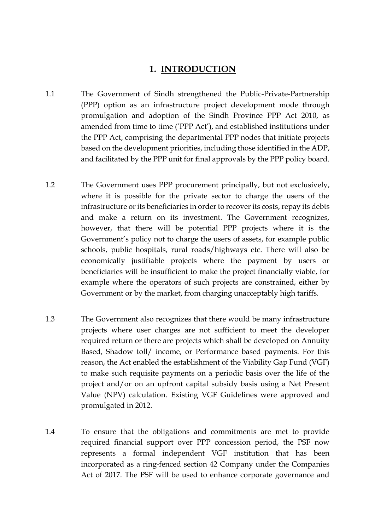#### **1. INTRODUCTION**

- 1.1 The Government of Sindh strengthened the Public-Private-Partnership (PPP) option as an infrastructure project development mode through promulgation and adoption of the Sindh Province PPP Act 2010, as amended from time to time ('PPP Act'), and established institutions under the PPP Act, comprising the departmental PPP nodes that initiate projects based on the development priorities, including those identified in the ADP, and facilitated by the PPP unit for final approvals by the PPP policy board.
- 1.2 The Government uses PPP procurement principally, but not exclusively, where it is possible for the private sector to charge the users of the infrastructure or its beneficiaries in order to recover its costs, repay its debts and make a return on its investment. The Government recognizes, however, that there will be potential PPP projects where it is the Government's policy not to charge the users of assets, for example public schools, public hospitals, rural roads/highways etc. There will also be economically justifiable projects where the payment by users or beneficiaries will be insufficient to make the project financially viable, for example where the operators of such projects are constrained, either by Government or by the market, from charging unacceptably high tariffs.
- 1.3 The Government also recognizes that there would be many infrastructure projects where user charges are not sufficient to meet the developer required return or there are projects which shall be developed on Annuity Based, Shadow toll/ income, or Performance based payments. For this reason, the Act enabled the establishment of the Viability Gap Fund (VGF) to make such requisite payments on a periodic basis over the life of the project and/or on an upfront capital subsidy basis using a Net Present Value (NPV) calculation. Existing VGF Guidelines were approved and promulgated in 2012.
- 1.4 To ensure that the obligations and commitments are met to provide required financial support over PPP concession period, the PSF now represents a formal independent VGF institution that has been incorporated as a ring-fenced section 42 Company under the Companies Act of 2017. The PSF will be used to enhance corporate governance and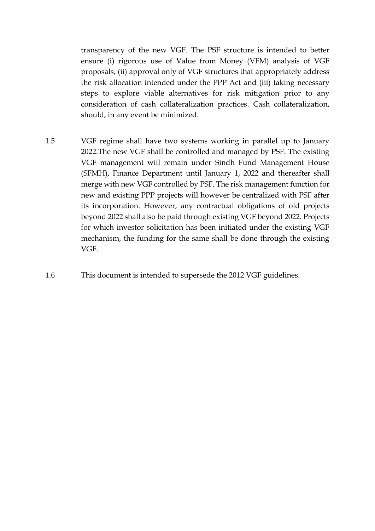transparency of the new VGF. The PSF structure is intended to better ensure (i) rigorous use of Value from Money (VFM) analysis of VGF proposals, (ii) approval only of VGF structures that appropriately address the risk allocation intended under the PPP Act and (iii) taking necessary steps to explore viable alternatives for risk mitigation prior to any consideration of cash collateralization practices. Cash collateralization, should, in any event be minimized.

- 1.5 VGF regime shall have two systems working in parallel up to January 2022.The new VGF shall be controlled and managed by PSF. The existing VGF management will remain under Sindh Fund Management House (SFMH), Finance Department until January 1, 2022 and thereafter shall merge with new VGF controlled by PSF. The risk management function for new and existing PPP projects will however be centralized with PSF after its incorporation. However, any contractual obligations of old projects beyond 2022 shall also be paid through existing VGF beyond 2022. Projects for which investor solicitation has been initiated under the existing VGF mechanism, the funding for the same shall be done through the existing VGF.
- <span id="page-5-0"></span>1.6 This document is intended to supersede the 2012 VGF guidelines.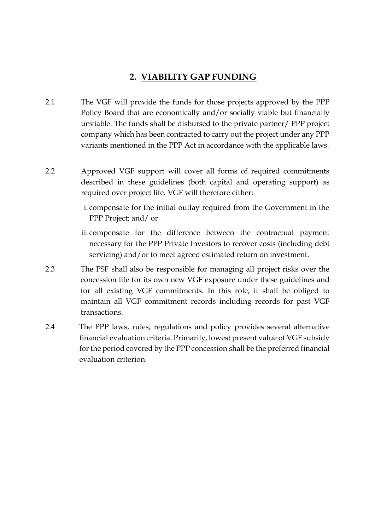### **2. VIABILITY GAP FUNDING**

- 2.1 The VGF will provide the funds for those projects approved by the PPP Policy Board that are economically and/or socially viable but financially unviable. The funds shall be disbursed to the private partner/ PPP project company which has been contracted to carry out the project under any PPP variants mentioned in the PPP Act in accordance with the applicable laws.
- 2.2 Approved VGF support will cover all forms of required commitments described in these guidelines (both capital and operating support) as required over project life. VGF will therefore either:
	- i. compensate for the initial outlay required from the Government in the PPP Project; and/ or
	- ii. compensate for the difference between the contractual payment necessary for the PPP Private Investors to recover costs (including debt servicing) and/or to meet agreed estimated return on investment.
- 2.3 The PSF shall also be responsible for managing all project risks over the concession life for its own new VGF exposure under these guidelines and for all existing VGF commitments. In this role, it shall be obliged to maintain all VGF commitment records including records for past VGF transactions.
- <span id="page-6-0"></span>2.4 The PPP laws, rules, regulations and policy provides several alternative financial evaluation criteria. Primarily, lowest present value of VGF subsidy for the period covered by the PPP concession shall be the preferred financial evaluation criterion.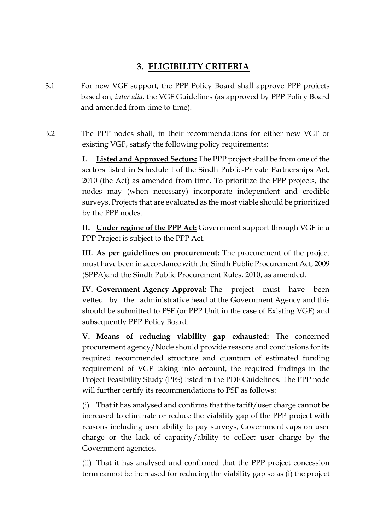## **3. ELIGIBILITY CRITERIA**

- 3.1 For new VGF support, the PPP Policy Board shall approve PPP projects based on, *inter alia*, the VGF Guidelines (as approved by PPP Policy Board and amended from time to time).
- 3.2 The PPP nodes shall, in their recommendations for either new VGF or existing VGF, satisfy the following policy requirements:

**I. Listed and Approved Sectors:** The PPP project shall be from one of the sectors listed in Schedule I of the Sindh Public-Private Partnerships Act, 2010 (the Act) as amended from time. To prioritize the PPP projects, the nodes may (when necessary) incorporate independent and credible surveys. Projects that are evaluated as the most viable should be prioritized by the PPP nodes.

**II. Under regime of the PPP Act:** Government support through VGF in a PPP Project is subject to the PPP Act.

**III. As per guidelines on procurement:** The procurement of the project must have been in accordance with the Sindh Public Procurement Act, 2009 (SPPA)and the Sindh Public Procurement Rules, 2010, as amended.

**IV. Government Agency Approval:** The project must have been vetted by the administrative head of the Government Agency and this should be submitted to PSF (or PPP Unit in the case of Existing VGF) and subsequently PPP Policy Board.

**V. Means of reducing viability gap exhausted:** The concerned procurement agency/Node should provide reasons and conclusions for its required recommended structure and quantum of estimated funding requirement of VGF taking into account, the required findings in the Project Feasibility Study (PFS) listed in the PDF Guidelines. The PPP node will further certify its recommendations to PSF as follows:

(i) That it has analysed and confirms that the tariff/user charge cannot be increased to eliminate or reduce the viability gap of the PPP project with reasons including user ability to pay surveys, Government caps on user charge or the lack of capacity/ability to collect user charge by the Government agencies.

(ii) That it has analysed and confirmed that the PPP project concession term cannot be increased for reducing the viability gap so as (i) the project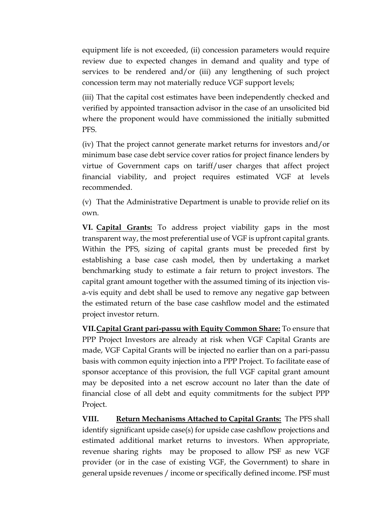equipment life is not exceeded, (ii) concession parameters would require review due to expected changes in demand and quality and type of services to be rendered and/or (iii) any lengthening of such project concession term may not materially reduce VGF support levels;

(iii) That the capital cost estimates have been independently checked and verified by appointed transaction advisor in the case of an unsolicited bid where the proponent would have commissioned the initially submitted PFS.

(iv) That the project cannot generate market returns for investors and/or minimum base case debt service cover ratios for project finance lenders by virtue of Government caps on tariff/user charges that affect project financial viability, and project requires estimated VGF at levels recommended.

(v) That the Administrative Department is unable to provide relief on its own.

**VI. Capital Grants:** To address project viability gaps in the most transparent way, the most preferential use of VGF is upfront capital grants. Within the PFS, sizing of capital grants must be preceded first by establishing a base case cash model, then by undertaking a market benchmarking study to estimate a fair return to project investors. The capital grant amount together with the assumed timing of its injection visa-vis equity and debt shall be used to remove any negative gap between the estimated return of the base case cashflow model and the estimated project investor return.

**VII.Capital Grant pari-passu with Equity Common Share:** To ensure that PPP Project Investors are already at risk when VGF Capital Grants are made, VGF Capital Grants will be injected no earlier than on a pari-passu basis with common equity injection into a PPP Project. To facilitate ease of sponsor acceptance of this provision, the full VGF capital grant amount may be deposited into a net escrow account no later than the date of financial close of all debt and equity commitments for the subject PPP Project.

**VIII. Return Mechanisms Attached to Capital Grants:** The PFS shall identify significant upside case(s) for upside case cashflow projections and estimated additional market returns to investors. When appropriate, revenue sharing rights may be proposed to allow PSF as new VGF provider (or in the case of existing VGF, the Government) to share in general upside revenues / income or specifically defined income. PSF must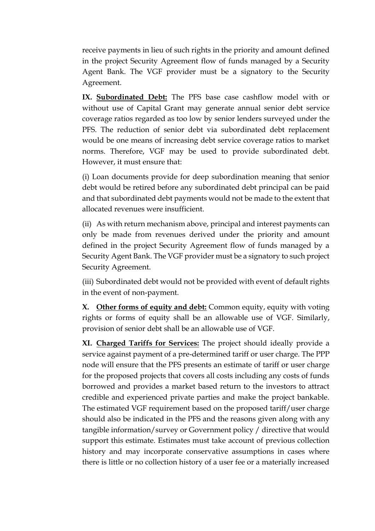receive payments in lieu of such rights in the priority and amount defined in the project Security Agreement flow of funds managed by a Security Agent Bank. The VGF provider must be a signatory to the Security Agreement.

IX. Subordinated Debt: The PFS base case cashflow model with or without use of Capital Grant may generate annual senior debt service coverage ratios regarded as too low by senior lenders surveyed under the PFS. The reduction of senior debt via subordinated debt replacement would be one means of increasing debt service coverage ratios to market norms. Therefore, VGF may be used to provide subordinated debt. However, it must ensure that:

(i) Loan documents provide for deep subordination meaning that senior debt would be retired before any subordinated debt principal can be paid and that subordinated debt payments would not be made to the extent that allocated revenues were insufficient.

(ii) As with return mechanism above, principal and interest payments can only be made from revenues derived under the priority and amount defined in the project Security Agreement flow of funds managed by a Security Agent Bank. The VGF provider must be a signatory to such project Security Agreement.

(iii) Subordinated debt would not be provided with event of default rights in the event of non-payment.

**X. Other forms of equity and debt:** Common equity, equity with voting rights or forms of equity shall be an allowable use of VGF. Similarly, provision of senior debt shall be an allowable use of VGF.

**XI. Charged Tariffs for Services:** The project should ideally provide a service against payment of a pre-determined tariff or user charge. The PPP node will ensure that the PFS presents an estimate of tariff or user charge for the proposed projects that covers all costs including any costs of funds borrowed and provides a market based return to the investors to attract credible and experienced private parties and make the project bankable. The estimated VGF requirement based on the proposed tariff/user charge should also be indicated in the PFS and the reasons given along with any tangible information/survey or Government policy / directive that would support this estimate. Estimates must take account of previous collection history and may incorporate conservative assumptions in cases where there is little or no collection history of a user fee or a materially increased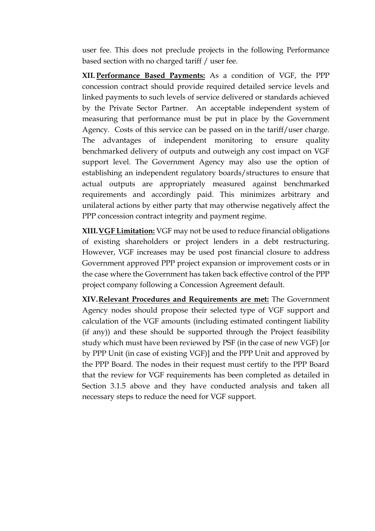user fee. This does not preclude projects in the following Performance based section with no charged tariff / user fee.

**XII. Performance Based Payments:** As a condition of VGF, the PPP concession contract should provide required detailed service levels and linked payments to such levels of service delivered or standards achieved by the Private Sector Partner. An acceptable independent system of measuring that performance must be put in place by the Government Agency. Costs of this service can be passed on in the tariff/user charge. The advantages of independent monitoring to ensure quality benchmarked delivery of outputs and outweigh any cost impact on VGF support level. The Government Agency may also use the option of establishing an independent regulatory boards/structures to ensure that actual outputs are appropriately measured against benchmarked requirements and accordingly paid. This minimizes arbitrary and unilateral actions by either party that may otherwise negatively affect the PPP concession contract integrity and payment regime.

**XIII.VGF Limitation:** VGF may not be used to reduce financial obligations of existing shareholders or project lenders in a debt restructuring. However, VGF increases may be used post financial closure to address Government approved PPP project expansion or improvement costs or in the case where the Government has taken back effective control of the PPP project company following a Concession Agreement default.

<span id="page-10-0"></span>**XIV.Relevant Procedures and Requirements are met:** The Government Agency nodes should propose their selected type of VGF support and calculation of the VGF amounts (including estimated contingent liability (if any)) and these should be supported through the Project feasibility study which must have been reviewed by PSF (in the case of new VGF) [or by PPP Unit (in case of existing VGF)] and the PPP Unit and approved by the PPP Board. The nodes in their request must certify to the PPP Board that the review for VGF requirements has been completed as detailed in Section 3.1.5 above and they have conducted analysis and taken all necessary steps to reduce the need for VGF support.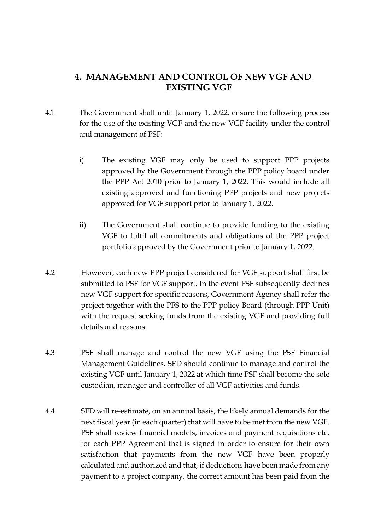## **4. MANAGEMENT AND CONTROL OF NEW VGF AND EXISTING VGF**

- 4.1 The Government shall until January 1, 2022, ensure the following process for the use of the existing VGF and the new VGF facility under the control and management of PSF:
	- i) The existing VGF may only be used to support PPP projects approved by the Government through the PPP policy board under the PPP Act 2010 prior to January 1, 2022. This would include all existing approved and functioning PPP projects and new projects approved for VGF support prior to January 1, 2022.
	- ii) The Government shall continue to provide funding to the existing VGF to fulfil all commitments and obligations of the PPP project portfolio approved by the Government prior to January 1, 2022.
- 4.2 However, each new PPP project considered for VGF support shall first be submitted to PSF for VGF support. In the event PSF subsequently declines new VGF support for specific reasons, Government Agency shall refer the project together with the PFS to the PPP policy Board (through PPP Unit) with the request seeking funds from the existing VGF and providing full details and reasons.
- 4.3 PSF shall manage and control the new VGF using the PSF Financial Management Guidelines. SFD should continue to manage and control the existing VGF until January 1, 2022 at which time PSF shall become the sole custodian, manager and controller of all VGF activities and funds.
- 4.4 SFD will re-estimate, on an annual basis, the likely annual demands for the next fiscal year (in each quarter) that will have to be met from the new VGF. PSF shall review financial models, invoices and payment requisitions etc. for each PPP Agreement that is signed in order to ensure for their own satisfaction that payments from the new VGF have been properly calculated and authorized and that, if deductions have been made from any payment to a project company, the correct amount has been paid from the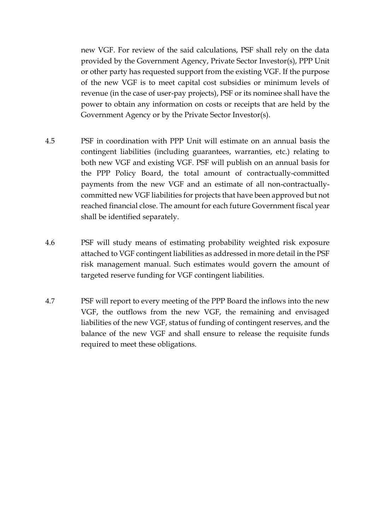new VGF. For review of the said calculations, PSF shall rely on the data provided by the Government Agency, Private Sector Investor(s), PPP Unit or other party has requested support from the existing VGF. If the purpose of the new VGF is to meet capital cost subsidies or minimum levels of revenue (in the case of user-pay projects), PSF or its nominee shall have the power to obtain any information on costs or receipts that are held by the Government Agency or by the Private Sector Investor(s).

- 4.5 PSF in coordination with PPP Unit will estimate on an annual basis the contingent liabilities (including guarantees, warranties, etc.) relating to both new VGF and existing VGF. PSF will publish on an annual basis for the PPP Policy Board, the total amount of contractually-committed payments from the new VGF and an estimate of all non-contractuallycommitted new VGF liabilities for projects that have been approved but not reached financial close. The amount for each future Government fiscal year shall be identified separately.
- 4.6 PSF will study means of estimating probability weighted risk exposure attached to VGF contingent liabilities as addressed in more detail in the PSF risk management manual. Such estimates would govern the amount of targeted reserve funding for VGF contingent liabilities.
- <span id="page-12-0"></span>4.7 PSF will report to every meeting of the PPP Board the inflows into the new VGF, the outflows from the new VGF, the remaining and envisaged liabilities of the new VGF, status of funding of contingent reserves, and the balance of the new VGF and shall ensure to release the requisite funds required to meet these obligations.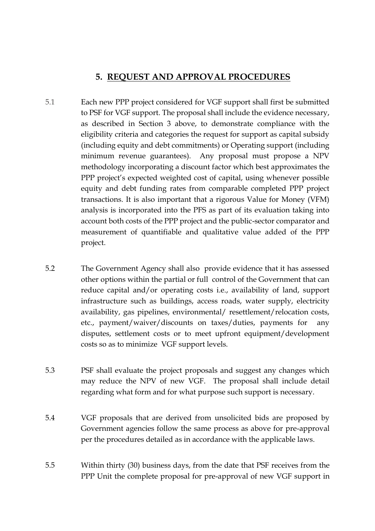#### **5. REQUEST AND APPROVAL PROCEDURES**

- 5.1 Each new PPP project considered for VGF support shall first be submitted to PSF for VGF support. The proposal shall include the evidence necessary, as described in Section 3 above, to demonstrate compliance with the eligibility criteria and categories the request for support as capital subsidy (including equity and debt commitments) or Operating support (including minimum revenue guarantees). Any proposal must propose a NPV methodology incorporating a discount factor which best approximates the PPP project's expected weighted cost of capital, using whenever possible equity and debt funding rates from comparable completed PPP project transactions. It is also important that a rigorous Value for Money (VFM) analysis is incorporated into the PFS as part of its evaluation taking into account both costs of the PPP project and the public-sector comparator and measurement of quantifiable and qualitative value added of the PPP project.
- 5.2 The Government Agency shall also provide evidence that it has assessed other options within the partial or full control of the Government that can reduce capital and/or operating costs i.e., availability of land, support infrastructure such as buildings, access roads, water supply, electricity availability, gas pipelines, environmental/ resettlement/relocation costs, etc., payment/waiver/discounts on taxes/duties, payments for any disputes, settlement costs or to meet upfront equipment/development costs so as to minimize VGF support levels.
- 5.3 PSF shall evaluate the project proposals and suggest any changes which may reduce the NPV of new VGF. The proposal shall include detail regarding what form and for what purpose such support is necessary.
- 5.4 VGF proposals that are derived from unsolicited bids are proposed by Government agencies follow the same process as above for pre-approval per the procedures detailed as in accordance with the applicable laws.
- 5.5 Within thirty (30) business days, from the date that PSF receives from the PPP Unit the complete proposal for pre-approval of new VGF support in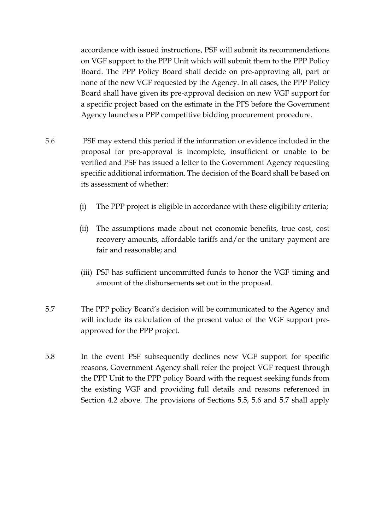accordance with issued instructions, PSF will submit its recommendations on VGF support to the PPP Unit which will submit them to the PPP Policy Board. The PPP Policy Board shall decide on pre-approving all, part or none of the new VGF requested by the Agency. In all cases, the PPP Policy Board shall have given its pre-approval decision on new VGF support for a specific project based on the estimate in the PFS before the Government Agency launches a PPP competitive bidding procurement procedure.

- 5.6 PSF may extend this period if the information or evidence included in the proposal for pre-approval is incomplete, insufficient or unable to be verified and PSF has issued a letter to the Government Agency requesting specific additional information. The decision of the Board shall be based on its assessment of whether:
	- (i) The PPP project is eligible in accordance with these eligibility criteria;
	- (ii) The assumptions made about net economic benefits, true cost, cost recovery amounts, affordable tariffs and/or the unitary payment are fair and reasonable; and
	- (iii) PSF has sufficient uncommitted funds to honor the VGF timing and amount of the disbursements set out in the proposal.
- 5.7 The PPP policy Board's decision will be communicated to the Agency and will include its calculation of the present value of the VGF support preapproved for the PPP project.
- 5.8 In the event PSF subsequently declines new VGF support for specific reasons, Government Agency shall refer the project VGF request through the PPP Unit to the PPP policy Board with the request seeking funds from the existing VGF and providing full details and reasons referenced in Section 4.2 above. The provisions of Sections 5.5, 5.6 and 5.7 shall apply